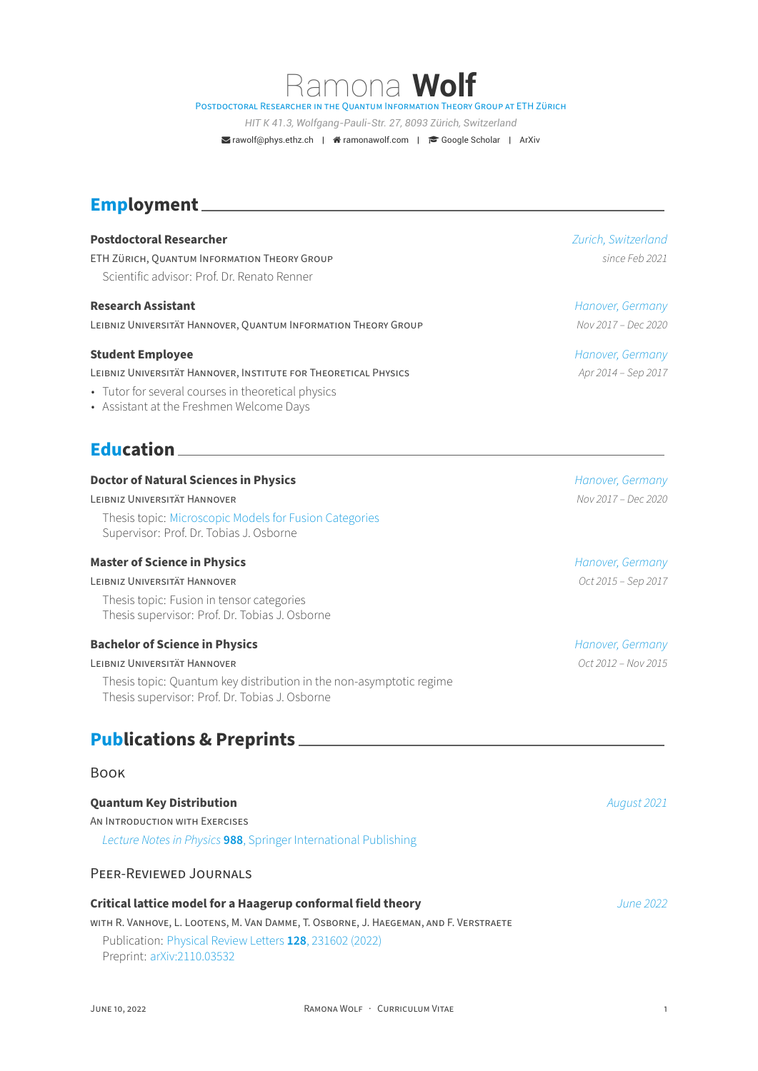Ramona **Wolf** POSTDOCTORAL RESEARCHER iN THE QUANTUM INFORMATiON THEORY GROUP AT ETH ZÜRiCH

*HIT K 41.3, Wolfgang-Pauli-Str. 27, 8093 Zürich, Switzerland*

**Example 18 Trawolf@phys.ethz.ch | 音 ramonawolf.com | き Google Scholar | ArXiv** 

# **Employment**

# **Postdoctoral Researcher** *Zurich, Switzerland* ETH ZÜRiCH, QUANTUM INFORMATiON THEORY GROUP *since Feb 2021* Scientific advisor: Prof. Dr. Renato Renner

#### **Research Assistant** *Hanover, Germany*

LEiBNiZ UNiVERSiTÄT HANNOVER, QUANTUM INFORMATiON THEORY GROUP *Nov 2017 – Dec 2020*

#### **Student Employee** *Hanover, Germany*

LEiBNiZ UNiVERSiTÄT HANNOVER, INSTiTUTE FOR THEORETiCAL PHYSiCS *Apr 2014 – Sep 2017*

- Tutor for several courses in theoretical physics
- Assistant at the Freshmen Welcome Days

# **Education**

#### **Doctor of Natural Sciences in Physics** *Hanover, Germany Hanover, Germany*

LEiBNiZ UNiVERSiTÄT HANNOVER *Nov 2017 – Dec 2020*

Thesis topic: Microscopic Models for Fusion Categories Supervisor: Prof. Dr. Tobias J. Osborne

#### **Master of Science in Physics** *Hanover, Germany Hanover, Germany*

#### LEiBNiZ UNiVERS[iTÄT HANNOVER](https://arxiv.org/abs/2101.04154) *Oct 2015 – Sep 2017*

Thesis topic: Fusion in tensor categories Thesis supervisor: Prof. Dr. Tobias J. Osborne

#### **Bachelor of Science in Physics** *Hanover, Germany*

# LEiBNiZ UNiVERSiTÄT HANNOVER *Oct 2012 – Nov 2015*

Thesis topic: Quantum key distribution in the non‑asymptotic regime Thesis supervisor: Prof. Dr. Tobias J. Osborne

# **Publications & Preprints**

#### BOOK

#### **Quantum Key Distribution** *August 2021*

AN INTRODUCTiON WiTH EXERCiSES

*Lecture Notes in Physics* **988**, Springer International Publishing

# PEER‑REViEWED JOURNALS

## **C[ritical lattice model for a Haagerup conformal field theory](https://www.springer.com/book/9783030739904)** *June 2022*

WiTH R. VANHOVE, L. LOOTENS, M. VAN DAMME, T. OSBORNE, J. HAEGEMAN, AND F. VERSTRAETE Publication: Physical Review Letters **128**, 231602 (2022) Preprint: arXiv:2110.03532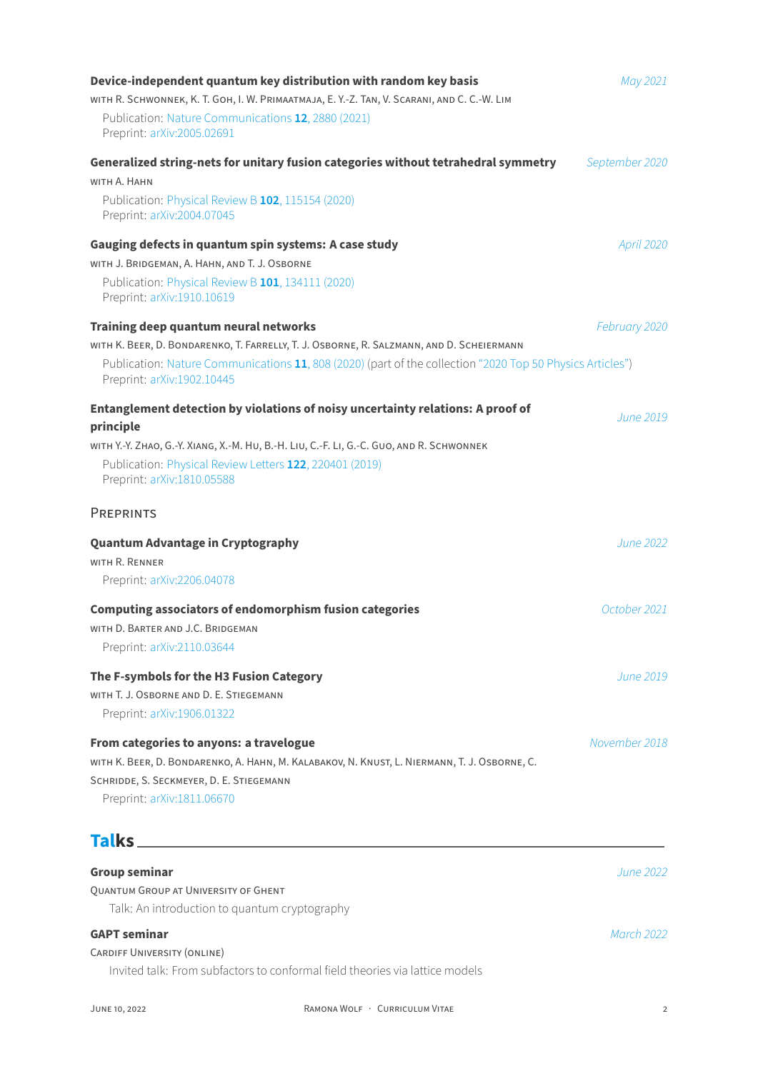| Device-independent quantum key distribution with random key basis                                                                       | May 2021       |
|-----------------------------------------------------------------------------------------------------------------------------------------|----------------|
| WITH R. SCHWONNEK, K. T. GOH, I. W. PRIMAATMAJA, E. Y.-Z. TAN, V. SCARANI, AND C. C.-W. LIM                                             |                |
| Publication: Nature Communications 12, 2880 (2021)<br>Preprint: arXiv:2005.02691                                                        |                |
| Generalized string-nets for unitary fusion categories without tetrahedral symmetry                                                      | September 2020 |
| WITH A. HAHN                                                                                                                            |                |
| Publication: Physical Review B 102, 115154 (2020)<br>Preprint: arXiv:2004.07045                                                         |                |
| Gauging defects in quantum spin systems: A case study                                                                                   | April 2020     |
| WITH J. BRIDGEMAN, A. HAHN, AND T. J. OSBORNE                                                                                           |                |
| Publication: Physical Review B 101, 134111 (2020)<br>Preprint: arXiv:1910.10619                                                         |                |
| Training deep quantum neural networks                                                                                                   | February 2020  |
| WITH K. BEER, D. BONDARENKO, T. FARRELLY, T. J. OSBORNE, R. SALZMANN, AND D. SCHEIERMANN                                                |                |
| Publication: Nature Communications 11, 808 (2020) (part of the collection "2020 Top 50 Physics Articles")<br>Preprint: arXiv:1902.10445 |                |
| Entanglement detection by violations of noisy uncertainty relations: A proof of                                                         | June 2019      |
| principle                                                                                                                               |                |
| WITH Y.-Y. ZHAO, G.-Y. XIANG, X.-M. HU, B.-H. LIU, C.-F. LI, G.-C. GUO, AND R. SCHWONNEK                                                |                |
| Publication: Physical Review Letters 122, 220401 (2019)<br>Preprint: arXiv:1810.05588                                                   |                |
| <b>PREPRINTS</b>                                                                                                                        |                |
| <b>Quantum Advantage in Cryptography</b>                                                                                                | June 2022      |
| WITH R. RENNER                                                                                                                          |                |
| Preprint: arXiv:2206.04078                                                                                                              |                |
| <b>Computing associators of endomorphism fusion categories</b>                                                                          | October 2021   |
| WITH D. BARTER AND J.C. BRIDGEMAN                                                                                                       |                |
| Preprint: arXiv:2110.03644                                                                                                              |                |
| The F-symbols for the H3 Fusion Category                                                                                                | June 2019.     |
| WITH T. J. OSBORNE AND D. E. STIEGEMANN                                                                                                 |                |
| Preprint: arXiv:1906.01322                                                                                                              |                |
| From categories to anyons: a travelogue                                                                                                 | November 2018  |
| WITH K. BEER, D. BONDARENKO, A. HAHN, M. KALABAKOV, N. KNUST, L. NIERMANN, T. J. OSBORNE, C.                                            |                |
| SCHRIDDE, S. SECKMEYER, D. E. STIEGEMANN                                                                                                |                |
| Preprint: arXiv:1811.06670                                                                                                              |                |
|                                                                                                                                         |                |
| <b>Group seminar</b>                                                                                                                    | June 2022      |
| QUANTUM GROUP AT UNIVERSITY OF GHENT                                                                                                    |                |
| Talk: An introduction to quantum cryptography                                                                                           |                |
| <b>GAPT seminar</b>                                                                                                                     | March 2022     |
| <b>CARDIFF UNIVERSITY (ONLINE)</b>                                                                                                      |                |
| Invited talk: From subfactors to conformal field theories via lattice models                                                            |                |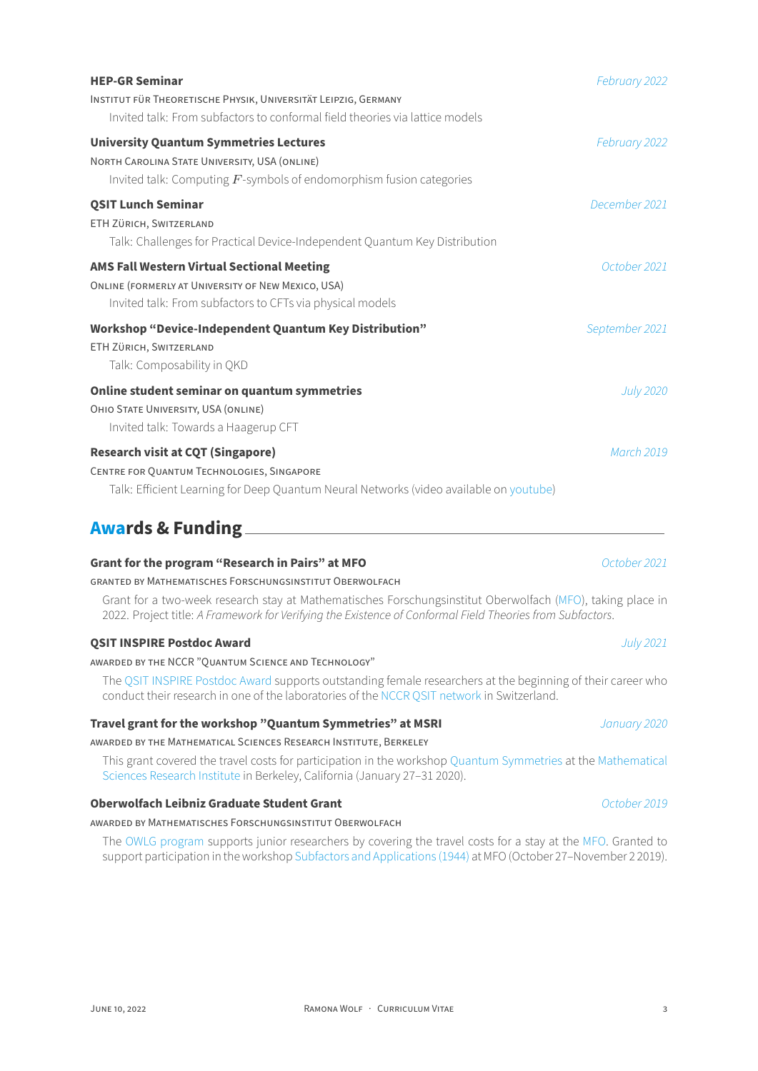| <b>HEP-GR Seminar</b>                                                                                                                                                            | February 2022    |
|----------------------------------------------------------------------------------------------------------------------------------------------------------------------------------|------------------|
| INSTITUT FÜR THEORETISCHE PHYSIK, UNIVERSITÄT LEIPZIG, GERMANY<br>Invited talk: From subfactors to conformal field theories via lattice models                                   |                  |
| <b>University Quantum Symmetries Lectures</b>                                                                                                                                    | February 2022    |
| NORTH CAROLINA STATE UNIVERSITY, USA (ONLINE)<br>Invited talk: Computing $F$ -symbols of endomorphism fusion categories                                                          |                  |
| <b>QSIT Lunch Seminar</b><br>ETH ZÜRICH, SWITZERLAND<br>Talk: Challenges for Practical Device-Independent Quantum Key Distribution                                               | December 2021    |
| <b>AMS Fall Western Virtual Sectional Meeting</b>                                                                                                                                | October 2021     |
| ONLINE (FORMERLY AT UNIVERSITY OF NEW MEXICO, USA)<br>Invited talk: From subfactors to CFTs via physical models                                                                  |                  |
| <b>Workshop "Device-Independent Quantum Key Distribution"</b><br>ETH ZÜRICH, SWITZERLAND<br>Talk: Composability in QKD                                                           | September 2021   |
| Online student seminar on quantum symmetries<br>OHIO STATE UNIVERSITY, USA (ONLINE)<br>Invited talk: Towards a Haagerup CFT                                                      | <b>July 2020</b> |
| <b>Research visit at CQT (Singapore)</b><br>CENTRE FOR QUANTUM TECHNOLOGIES, SINGAPORE<br>Talk: Efficient Learning for Deep Quantum Neural Networks (video available on youtube) | March 2019       |
| <b>Awards &amp; Funding</b>                                                                                                                                                      |                  |

# **Grant for the program "Research in Pairs" at MFO** *October 2021*

#### GRANTED BY MATHEMATiSCHES FORSCHUNGSiNSTiTUT OBERWOLFACH

Grant for a two-week research stay at Mathematisches Forschungsinstitut Oberwolfach (MFO), taking place in 2022. Project title: *A Framework for Verifying the Existence of Conformal Field Theories from Subfactors*.

#### **QSIT INSPIRE Postdoc Award** *July 2021*

## AWARDED BY THE NCCR "QUANTUM SCiENCE AND TECHNOLOGY"

The QSIT INSPIRE Postdoc Award supports outstanding female researchers at the beginning of their career who conduct their research in one of the laboratories of the NCCR QSIT network in Switzerland.

#### **Travel grant for the workshop "Quantum Symmetries" at MSRI** *January 2020*

## AWARD[ED BY THE MATHEMATiCAL SCiENCE](https://nccr-qsit.ethz.ch/equal-opportunity/qsit-inspire-postdoc-award.html)S RESEARCH INSTiTUTE, BERKELEY

This grant covered the travel costs for participation in [the workshop](https://nccr-qsit.ethz.ch) Quantum Symmetries at the Mathematical Sciences Research Institute in Berkeley, California (January 27–31 2020).

#### **Oberwolfach Leibniz Graduate Student Grant** *October 2019*

#### AWARDED BY MATHEMATiSCHES FORSCHUNGSiNSTiTUT OBERWOLFACH

The [OWLG program](https://www.msri.org/web/cms) supports junior researchers by covering the travel costs for a stay at the MFO. Granted to support participation in the workshop Subfactors and Applications (1944) at MFO (October 27–November 2 2019).